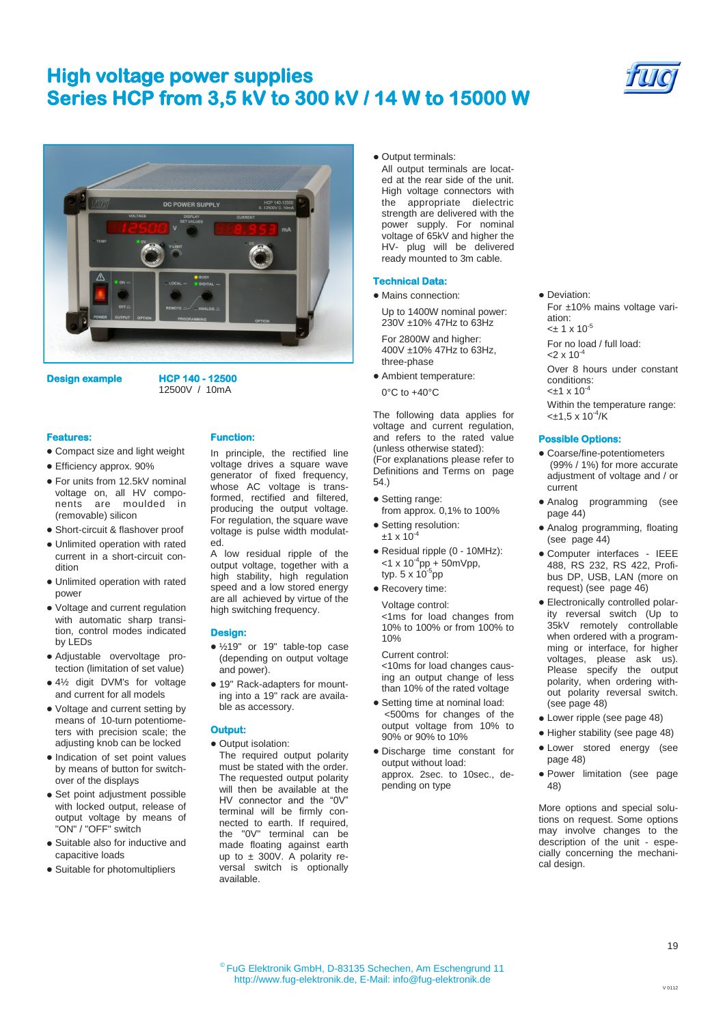# **High voltage power supplies Series HCP from 3,5 kV to 300 kV / 14 W to 15000 W**





**Design example HCP 140 - 12500**  12500V / 10mA

#### **Features:**

- Compact size and light weight
- Efficiency approx. 90%
- For units from 12.5kV nominal voltage on, all HV components are moulded in (removable) silicon
- Short-circuit & flashover proof
- Unlimited operation with rated current in a short-circuit condition
- Unlimited operation with rated power
- Voltage and current regulation with automatic sharp transition, control modes indicated by LEDs
- Adjustable overvoltage protection (limitation of set value)
- 4½ digit DVM's for voltage and current for all models
- Voltage and current setting by means of 10-turn potentiometers with precision scale; the adjusting knob can be locked
- Indication of set point values by means of button for switchover of the displays
- Set point adjustment possible with locked output, release of output voltage by means of "ON" / "OFF" switch
- Suitable also for inductive and capacitive loads
- Suitable for photomultipliers

**Function:** 

In principle, the rectified line voltage drives a square wave generator of fixed frequency, whose AC voltage is transformed, rectified and filtered. producing the output voltage. For regulation, the square wave voltage is pulse width modulated.

A low residual ripple of the output voltage, together with a high stability, high regulation speed and a low stored energy are all achieved by virtue of the high switching frequency.

### **Design:**

- ½19" or 19" table-top case (depending on output voltage and power).
- 19" Rack-adapters for mounting into a 19" rack are available as accessory.

## **Output:**

- Output isolation:
- The required output polarity must be stated with the order. The requested output polarity will then be available at the HV connector and the "0V" terminal will be firmly connected to earth. If required, the "0V" terminal can be made floating against earth up to  $\pm$  300V. A polarity reversal switch is optionally available.

• Output terminals:

All output terminals are located at the rear side of the unit. High voltage connectors with the appropriate dielectric strength are delivered with the power supply. For nominal voltage of 65kV and higher the HV- plug will be delivered ready mounted to 3m cable.

### **Technical Data:**

• Mains connection:

Up to 1400W nominal power: 230V ±10% 47Hz to 63Hz

For 2800W and higher: 400V ±10% 47Hz to 63Hz, three-phase

Ambient temperature: 0°C to +40°C

The following data applies for voltage and current regulation, and refers to the rated value (unless otherwise stated): (For explanations please refer to Definitions and Terms on page 54.)

- Setting range: from approx. 0,1% to 100%
- Setting resolution:  $±1 \times 10^{-4}$
- Residual ripple (0 10MHz):  $<$ 1 x 10<sup>-4</sup>pp + 50mVpp, typ. 5 x 10<sup>-5</sup>pp
- Recovery time:

Voltage control: <1ms for load changes from 10% to 100% or from 100% to 10%

Current control: <10ms for load changes causing an output change of less than 10% of the rated voltage

- Setting time at nominal load: <500ms for changes of the output voltage from 10% to 90% or 90% to 10%
- Discharge time constant for output without load: approx. 2sec. to 10sec., depending on type

For ±10% mains voltage variation:  $< \pm 1 \times 10^{-5}$ For no load / full load:  $<$ 2 x 10<sup>-4</sup> Over 8 hours under constant conditions:  $< +1 \times 10^{-4}$ Within the temperature range:  $<\pm 1.5 \times 10^{-4}$ /K

### **Possible Options:**

**•** Deviation:

- Coarse/fine-potentiometers (99% / 1%) for more accurate adjustment of voltage and / or current
- Analog programming (see page 44)
- Analog programming, floating (see page 44)
- Computer interfaces IEEE 488, RS 232, RS 422, Profibus DP, USB, LAN (more on request) (see page 46)
- Electronically controlled polarity reversal switch (Up to 35kV remotely controllable when ordered with a programming or interface, for higher voltages, please ask us). Please specify the output polarity, when ordering without polarity reversal switch. (see page 48)
- Lower ripple (see page 48)
- Higher stability (see page 48)
- Lower stored energy (see page 48)
- Power limitation (see page 48)

More options and special solutions on request. Some options may involve changes to the description of the unit - especially concerning the mechanical design.

19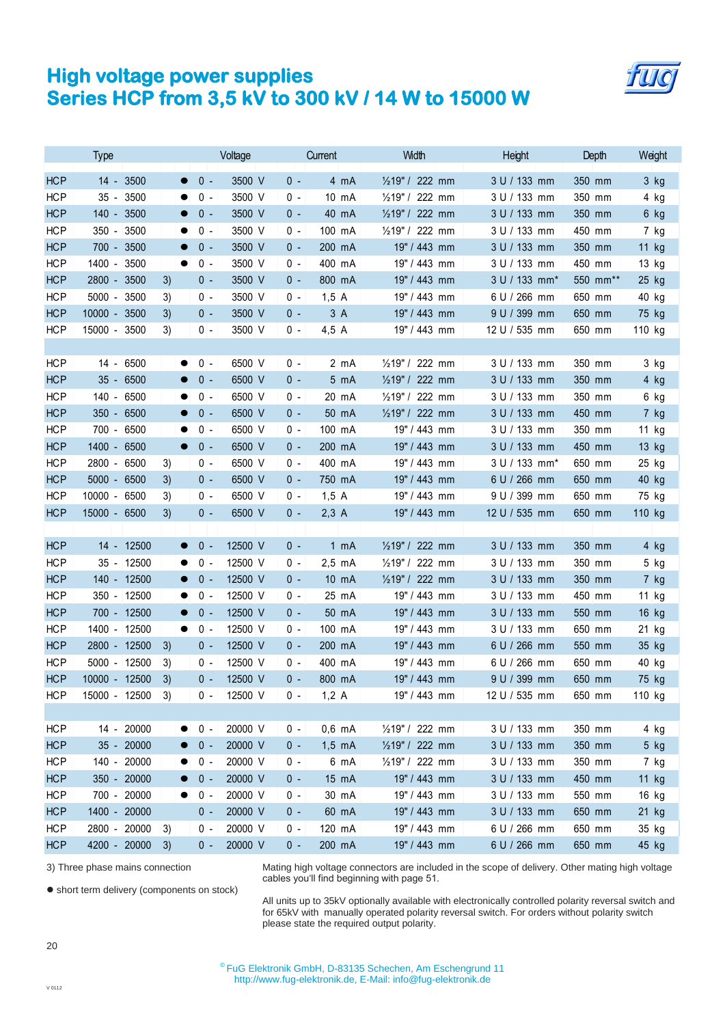## **High voltage power supplies Series HCP from 3,5 kV to 300 kV / 14 W to 15000 W**

|            | <b>Type</b>   |            |    |                    | Voltage |         |       | Current         | Width           | Height        | Depth    | Weight |
|------------|---------------|------------|----|--------------------|---------|---------|-------|-----------------|-----------------|---------------|----------|--------|
| <b>HCP</b> | $14 -$        | 3500       |    | $0 -$<br>$\bullet$ |         | 3500 V  | 0 -   | 4 mA            | 1/219" / 222 mm | 3 U / 133 mm  | 350 mm   | 3 kg   |
| <b>HCP</b> | $35 -$        | 3500       |    | $0 -$              |         | 3500 V  | 0 -   | $10 \text{ mA}$ | 1/219" / 222 mm | 3 U / 133 mm  | 350 mm   | 4 kg   |
| <b>HCP</b> | $140 -$       | 3500       |    | $0 -$<br>$\bullet$ |         | 3500 V  | 0 -   | 40 mA           | 1/219" / 222 mm | 3 U / 133 mm  | 350 mm   | 6 kg   |
| <b>HCP</b> | $350 -$       | 3500       |    | $0 -$              |         | 3500 V  | 0 -   | 100 mA          | 1/219" / 222 mm | 3 U / 133 mm  | 450 mm   | 7 kg   |
| <b>HCP</b> | $700 -$       | 3500       |    | $0 -$              |         | 3500 V  | 0 -   | 200 mA          | 19" / 443 mm    | 3 U / 133 mm  | 350 mm   | 11 kg  |
| <b>HCP</b> | $1400 -$      | 3500       |    | $0 -$<br>$\bullet$ |         | 3500 V  | 0 -   | 400 mA          | 19" / 443 mm    | 3 U / 133 mm  | 450 mm   | 13 kg  |
| <b>HCP</b> | $2800 -$      | 3500       | 3) | $0 -$              |         | 3500 V  | 0 -   | 800 mA          | 19" / 443 mm    | 3 U / 133 mm* | 550 mm** | 25 kg  |
| <b>HCP</b> | 5000 - 3500   |            | 3) | 0 -                |         | 3500 V  | 0 -   | 1,5A            | 19" / 443 mm    | 6 U / 266 mm  | 650 mm   | 40 kg  |
| <b>HCP</b> | 10000 - 3500  |            | 3) | $0 -$              |         | 3500 V  | 0 -   | 3A              | 19" / 443 mm    | 9 U / 399 mm  | 650 mm   | 75 kg  |
| <b>HCP</b> | 15000 - 3500  |            | 3) | $0 -$              |         | 3500 V  | 0 -   | $4,5$ A         | 19" / 443 mm    | 12 U / 535 mm | 650 mm   | 110 kg |
|            |               |            |    |                    |         |         |       |                 |                 |               |          |        |
| <b>HCP</b> | $14 -$        | 6500       |    | $0 -$<br>$\bullet$ |         | 6500 V  | $0 -$ | $2 \text{ mA}$  | 1/219" / 222 mm | 3 U / 133 mm  | 350 mm   | 3 kg   |
| <b>HCP</b> | 35 - 6500     |            |    | $0 -$              |         | 6500 V  | $0 -$ | 5 mA            | 1/219" / 222 mm | 3 U / 133 mm  | 350 mm   | 4 kg   |
| <b>HCP</b> | $140 -$       | 6500       |    | $0 -$              |         | 6500 V  | 0 -   | 20 mA           | 1/219" / 222 mm | 3 U / 133 mm  | 350 mm   | 6 kg   |
| <b>HCP</b> | $350 -$       | 6500       |    | $0 -$              |         | 6500 V  | $0 -$ | 50 mA           | 1/219" / 222 mm | 3 U / 133 mm  | 450 mm   | 7 kg   |
| <b>HCP</b> | $700 -$       | 6500       |    | $0 -$              |         | 6500 V  | 0 -   | 100 mA          | 19" / 443 mm    | 3 U / 133 mm  | 350 mm   | 11 kg  |
| <b>HCP</b> | $1400 -$      | 6500       |    | $0 -$<br>$\bullet$ |         | 6500 V  | 0 -   | 200 mA          | 19" / 443 mm    | 3 U / 133 mm  | 450 mm   | 13 kg  |
| <b>HCP</b> | $2800 -$      | 6500       | 3) | $0 -$              |         | 6500 V  | 0 -   | 400 mA          | 19" / 443 mm    | 3 U / 133 mm* | 650 mm   | 25 kg  |
| <b>HCP</b> | $5000 -$      | 6500       | 3) | $0 -$              |         | 6500 V  | 0 -   | 750 mA          | 19" / 443 mm    | 6 U / 266 mm  | 650 mm   | 40 kg  |
| <b>HCP</b> | $10000 -$     | 6500       | 3) | $0 -$              |         | 6500 V  | 0 -   | 1,5A            | 19" / 443 mm    | 9 U / 399 mm  | 650 mm   | 75 kg  |
| <b>HCP</b> | 15000 - 6500  |            | 3) | $0 -$              |         | 6500 V  | 0 -   | $2,3$ A         | 19" / 443 mm    | 12 U / 535 mm | 650 mm   | 110 kg |
|            |               |            |    |                    |         |         |       |                 |                 |               |          |        |
| <b>HCP</b> | $14 -$        | 12500      |    | $0 -$<br>$\bullet$ |         | 12500 V | 0 -   | $1 \text{ mA}$  | 1/219" / 222 mm | 3 U / 133 mm  | 350 mm   | 4 kg   |
| <b>HCP</b> | $35 -$        | 12500      |    | $0 -$<br>$\bullet$ |         | 12500 V | 0 -   | $2,5$ mA        | 1/219" / 222 mm | 3 U / 133 mm  | 350 mm   | 5 kg   |
| <b>HCP</b> | $140 -$       | 12500      |    | $0 -$              |         | 12500 V | 0 -   | 10 mA           | 1/219" / 222 mm | 3 U / 133 mm  | 350 mm   | 7 kg   |
| <b>HCP</b> | 350 - 12500   |            |    | $0 -$<br>$\bullet$ |         | 12500 V | 0 -   | 25 mA           | 19" / 443 mm    | 3 U / 133 mm  | 450 mm   | 11 kg  |
| <b>HCP</b> | 700 - 12500   |            |    | $0 -$<br>$\bullet$ |         | 12500 V | 0 -   | 50 mA           | 19" / 443 mm    | 3 U / 133 mm  | 550 mm   | 16 kg  |
| <b>HCP</b> | 1400 - 12500  |            |    | $0 -$<br>$\bullet$ |         | 12500 V | 0 -   | 100 mA          | 19" / 443 mm    | 3 U / 133 mm  | 650 mm   | 21 kg  |
| <b>HCP</b> | 2800 - 12500  |            | 3) | $0 -$              |         | 12500 V | 0 -   | 200 mA          | 19" / 443 mm    | 6 U / 266 mm  | 550 mm   | 35 kg  |
| <b>HCP</b> | 5000 - 12500  |            | 3) | $0 -$              |         | 12500 V | 0 -   | 400 mA          | 19" / 443 mm    | 6 U / 266 mm  | 650 mm   | 40 kg  |
| <b>HCP</b> | 10000 - 12500 |            | 3) | $0 -$              |         | 12500 V | $0 -$ | 800 mA          | 19" / 443 mm    | 9 U / 399 mm  | 650 mm   | 75 kg  |
| <b>HCP</b> | 15000 - 12500 |            | 3) | $0 -$              |         | 12500 V | $0 -$ | $1,2$ A         | 19" / 443 mm    | 12 U / 535 mm | 650 mm   | 110 kg |
|            |               |            |    |                    |         |         |       |                 |                 |               |          |        |
| <b>HCP</b> |               | 14 - 20000 |    | $0 -$              |         | 20000 V | $0 -$ | $0,6$ mA        | 1/219" / 222 mm | 3 U / 133 mm  | 350 mm   | 4 kg   |
| <b>HCP</b> | $35 -$        | 20000      |    | $0 -$              |         | 20000 V | $0 -$ | $1,5$ mA        | 1/219" / 222 mm | 3 U / 133 mm  | 350 mm   | 5 kg   |
| <b>HCP</b> | 140 - 20000   |            |    | $0 -$              |         | 20000 V | $0 -$ | 6 mA            | 1/219" / 222 mm | 3 U / 133 mm  | 350 mm   | 7 kg   |
| <b>HCP</b> | $350 -$       | 20000      |    | $0 -$              |         | 20000 V | 0 -   | 15 mA           | 19" / 443 mm    | 3 U / 133 mm  | 450 mm   | 11 kg  |
| <b>HCP</b> | 700 - 20000   |            |    | $0 -$              |         | 20000 V | $0 -$ | 30 mA           | 19" / 443 mm    | 3 U / 133 mm  | 550 mm   | 16 kg  |
| <b>HCP</b> | 1400 - 20000  |            |    | $0 -$              |         | 20000 V | $0 -$ | 60 mA           | 19" / 443 mm    | 3 U / 133 mm  | 650 mm   | 21 kg  |
| <b>HCP</b> | 2800 - 20000  |            | 3) | $0 -$              |         | 20000 V | 0 -   | 120 mA          | 19" / 443 mm    | 6 U / 266 mm  | 650 mm   | 35 kg  |
| <b>HCP</b> | 4200 - 20000  |            | 3) | $0 -$              |         | 20000 V | $0 -$ | 200 mA          | 19" / 443 mm    | 6 U / 266 mm  | 650 mm   | 45 kg  |

3) Three phase mains connection

short term delivery (components on stock)

Mating high voltage connectors are included in the scope of delivery. Other mating high voltage cables you'll find beginning with page 51.

All units up to 35kV optionally available with electronically controlled polarity reversal switch and for 65kV with manually operated polarity reversal switch. For orders without polarity switch please state the required output polarity.

© FuG Elektronik GmbH, D-83135 Schechen, Am Eschengrund 11 http://www.fug-elektronik.de, E-Mail: info@fug-elektronik.de

20